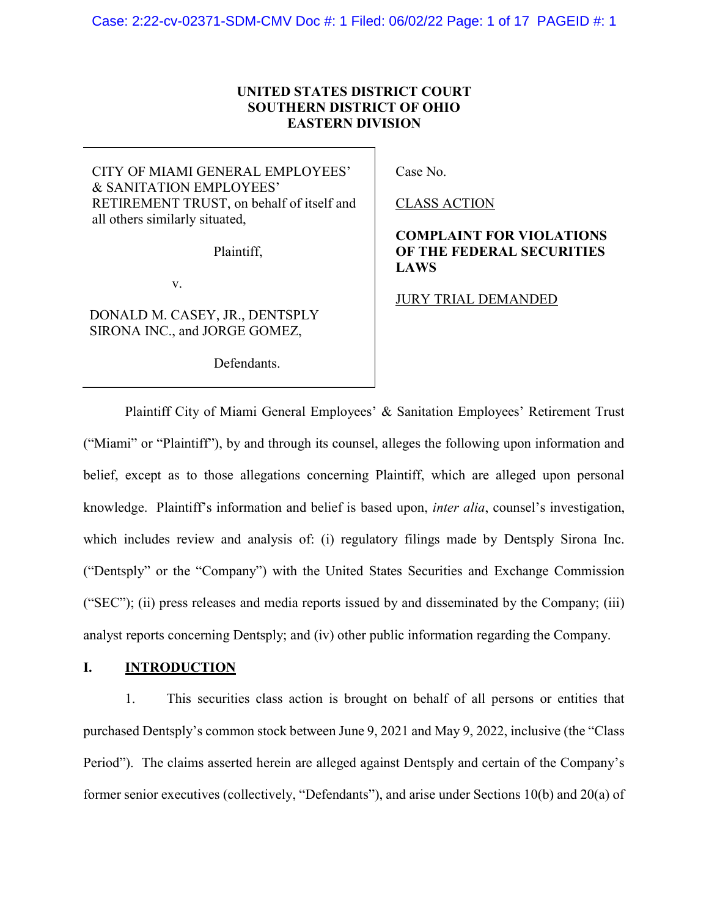## UNITED STATES DISTRICT COURT SOUTHERN DISTRICT OF OHIO EASTERN DIVISION

CITY OF MIAMI GENERAL EMPLOYEES' & SANITATION EMPLOYEES' RETIREMENT TRUST, on behalf of itself and all others similarly situated,

Plaintiff,

v.

DONALD M. CASEY, JR., DENTSPLY SIRONA INC., and JORGE GOMEZ,

Defendants.

Case No.

CLASS ACTION

# COMPLAINT FOR VIOLATIONS OF THE FEDERAL SECURITIES LAWS

JURY TRIAL DEMANDED

Plaintiff City of Miami General Employees' & Sanitation Employees' Retirement Trust ("Miami" or "Plaintiff"), by and through its counsel, alleges the following upon information and belief, except as to those allegations concerning Plaintiff, which are alleged upon personal knowledge. Plaintiff's information and belief is based upon, inter alia, counsel's investigation, which includes review and analysis of: (i) regulatory filings made by Dentsply Sirona Inc. ("Dentsply" or the "Company") with the United States Securities and Exchange Commission ("SEC"); (ii) press releases and media reports issued by and disseminated by the Company; (iii) analyst reports concerning Dentsply; and (iv) other public information regarding the Company.

## I. INTRODUCTION

1. This securities class action is brought on behalf of all persons or entities that purchased Dentsply's common stock between June 9, 2021 and May 9, 2022, inclusive (the "Class Period"). The claims asserted herein are alleged against Dentsply and certain of the Company's former senior executives (collectively, "Defendants"), and arise under Sections 10(b) and 20(a) of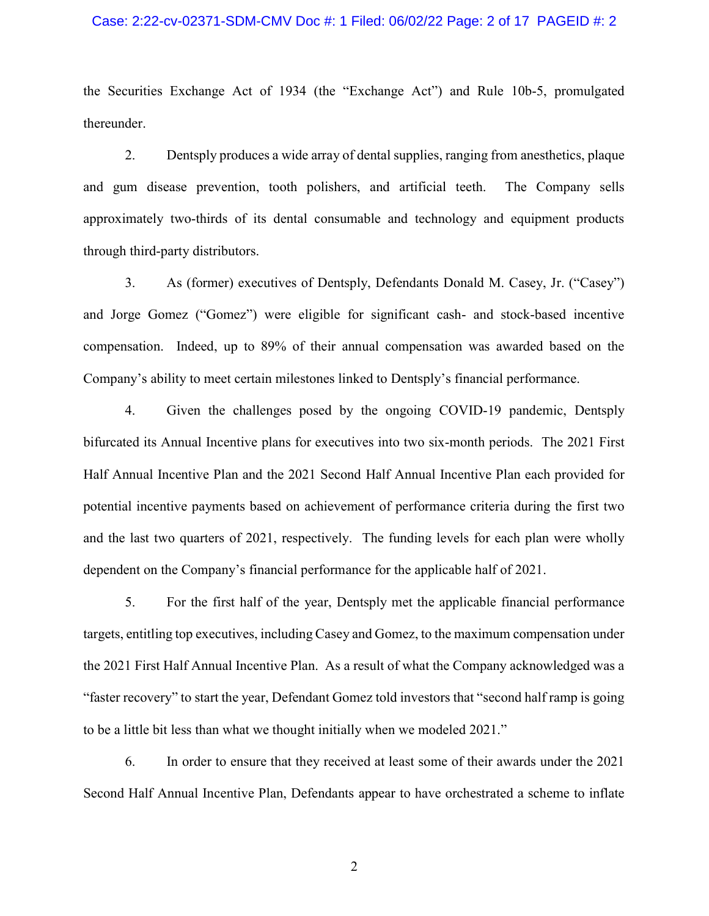#### Case: 2:22-cv-02371-SDM-CMV Doc #: 1 Filed: 06/02/22 Page: 2 of 17 PAGEID #: 2

the Securities Exchange Act of 1934 (the "Exchange Act") and Rule 10b-5, promulgated thereunder.

2. Dentsply produces a wide array of dental supplies, ranging from anesthetics, plaque and gum disease prevention, tooth polishers, and artificial teeth. The Company sells approximately two-thirds of its dental consumable and technology and equipment products through third-party distributors.

3. As (former) executives of Dentsply, Defendants Donald M. Casey, Jr. ("Casey") and Jorge Gomez ("Gomez") were eligible for significant cash- and stock-based incentive compensation. Indeed, up to 89% of their annual compensation was awarded based on the Company's ability to meet certain milestones linked to Dentsply's financial performance.

4. Given the challenges posed by the ongoing COVID-19 pandemic, Dentsply bifurcated its Annual Incentive plans for executives into two six-month periods. The 2021 First Half Annual Incentive Plan and the 2021 Second Half Annual Incentive Plan each provided for potential incentive payments based on achievement of performance criteria during the first two and the last two quarters of 2021, respectively. The funding levels for each plan were wholly dependent on the Company's financial performance for the applicable half of 2021.

5. For the first half of the year, Dentsply met the applicable financial performance targets, entitling top executives, including Casey and Gomez, to the maximum compensation under the 2021 First Half Annual Incentive Plan. As a result of what the Company acknowledged was a "faster recovery" to start the year, Defendant Gomez told investors that "second half ramp is going to be a little bit less than what we thought initially when we modeled 2021."

6. In order to ensure that they received at least some of their awards under the 2021 Second Half Annual Incentive Plan, Defendants appear to have orchestrated a scheme to inflate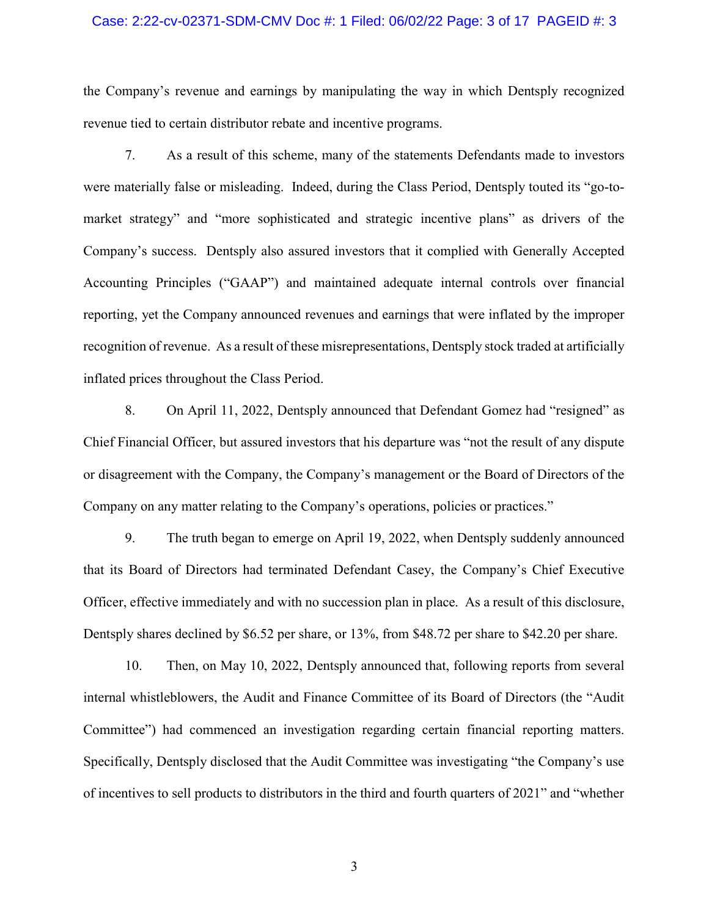#### Case: 2:22-cv-02371-SDM-CMV Doc #: 1 Filed: 06/02/22 Page: 3 of 17 PAGEID #: 3

the Company's revenue and earnings by manipulating the way in which Dentsply recognized revenue tied to certain distributor rebate and incentive programs.

7. As a result of this scheme, many of the statements Defendants made to investors were materially false or misleading. Indeed, during the Class Period, Dentsply touted its "go-tomarket strategy" and "more sophisticated and strategic incentive plans" as drivers of the Company's success. Dentsply also assured investors that it complied with Generally Accepted Accounting Principles ("GAAP") and maintained adequate internal controls over financial reporting, yet the Company announced revenues and earnings that were inflated by the improper recognition of revenue. As a result of these misrepresentations, Dentsply stock traded at artificially inflated prices throughout the Class Period.

8. On April 11, 2022, Dentsply announced that Defendant Gomez had "resigned" as Chief Financial Officer, but assured investors that his departure was "not the result of any dispute or disagreement with the Company, the Company's management or the Board of Directors of the Company on any matter relating to the Company's operations, policies or practices."

9. The truth began to emerge on April 19, 2022, when Dentsply suddenly announced that its Board of Directors had terminated Defendant Casey, the Company's Chief Executive Officer, effective immediately and with no succession plan in place. As a result of this disclosure, Dentsply shares declined by \$6.52 per share, or 13%, from \$48.72 per share to \$42.20 per share.

10. Then, on May 10, 2022, Dentsply announced that, following reports from several internal whistleblowers, the Audit and Finance Committee of its Board of Directors (the "Audit Committee") had commenced an investigation regarding certain financial reporting matters. Specifically, Dentsply disclosed that the Audit Committee was investigating "the Company's use of incentives to sell products to distributors in the third and fourth quarters of 2021" and "whether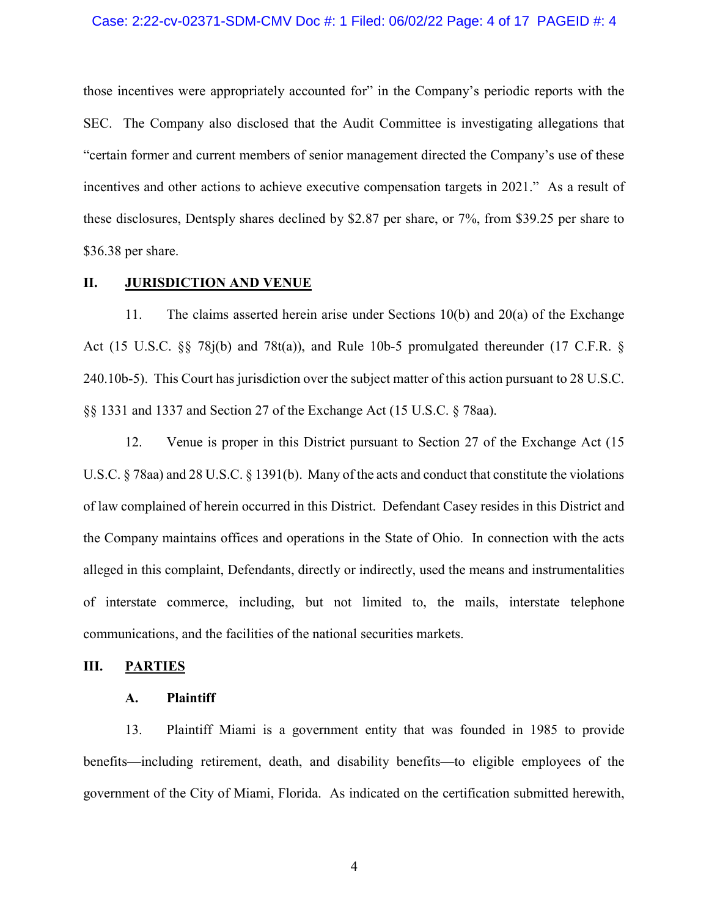#### Case: 2:22-cv-02371-SDM-CMV Doc #: 1 Filed: 06/02/22 Page: 4 of 17 PAGEID #: 4

those incentives were appropriately accounted for" in the Company's periodic reports with the SEC. The Company also disclosed that the Audit Committee is investigating allegations that "certain former and current members of senior management directed the Company's use of these incentives and other actions to achieve executive compensation targets in 2021." As a result of these disclosures, Dentsply shares declined by \$2.87 per share, or 7%, from \$39.25 per share to \$36.38 per share.

#### II. JURISDICTION AND VENUE

11. The claims asserted herein arise under Sections 10(b) and 20(a) of the Exchange Act (15 U.S.C. §§ 78j(b) and 78t(a)), and Rule 10b-5 promulgated thereunder (17 C.F.R. § 240.10b-5). This Court has jurisdiction over the subject matter of this action pursuant to 28 U.S.C. §§ 1331 and 1337 and Section 27 of the Exchange Act (15 U.S.C. § 78aa).

12. Venue is proper in this District pursuant to Section 27 of the Exchange Act (15 U.S.C. § 78aa) and 28 U.S.C. § 1391(b). Many of the acts and conduct that constitute the violations of law complained of herein occurred in this District. Defendant Casey resides in this District and the Company maintains offices and operations in the State of Ohio. In connection with the acts alleged in this complaint, Defendants, directly or indirectly, used the means and instrumentalities of interstate commerce, including, but not limited to, the mails, interstate telephone communications, and the facilities of the national securities markets.

#### III. PARTIES

#### A. Plaintiff

13. Plaintiff Miami is a government entity that was founded in 1985 to provide benefits—including retirement, death, and disability benefits—to eligible employees of the government of the City of Miami, Florida. As indicated on the certification submitted herewith,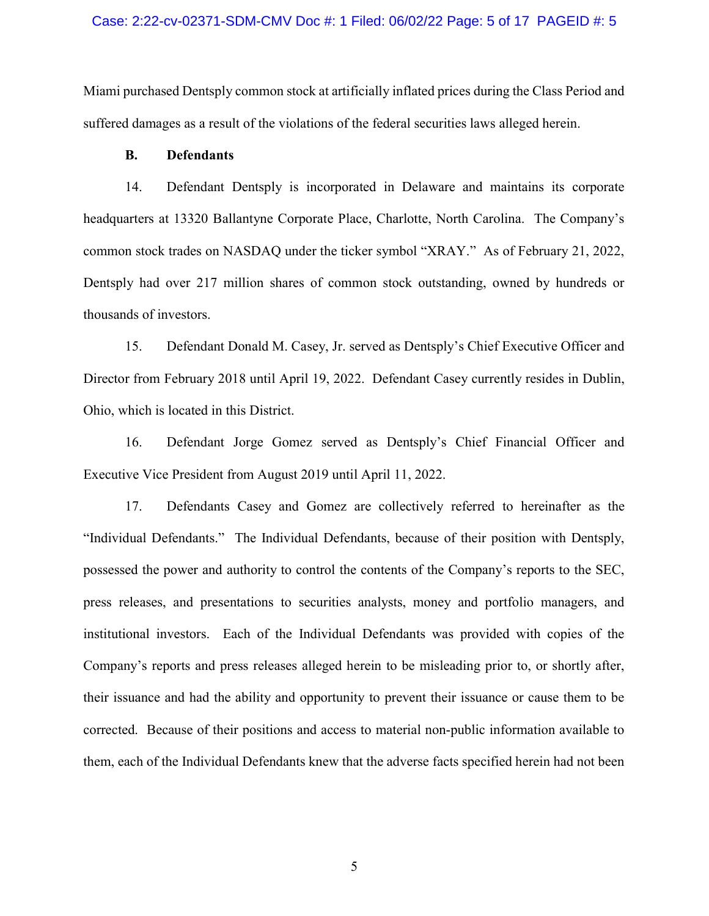#### Case: 2:22-cv-02371-SDM-CMV Doc #: 1 Filed: 06/02/22 Page: 5 of 17 PAGEID #: 5

Miami purchased Dentsply common stock at artificially inflated prices during the Class Period and suffered damages as a result of the violations of the federal securities laws alleged herein.

### B. Defendants

14. Defendant Dentsply is incorporated in Delaware and maintains its corporate headquarters at 13320 Ballantyne Corporate Place, Charlotte, North Carolina. The Company's common stock trades on NASDAQ under the ticker symbol "XRAY." As of February 21, 2022, Dentsply had over 217 million shares of common stock outstanding, owned by hundreds or thousands of investors.

15. Defendant Donald M. Casey, Jr. served as Dentsply's Chief Executive Officer and Director from February 2018 until April 19, 2022. Defendant Casey currently resides in Dublin, Ohio, which is located in this District.

16. Defendant Jorge Gomez served as Dentsply's Chief Financial Officer and Executive Vice President from August 2019 until April 11, 2022.

17. Defendants Casey and Gomez are collectively referred to hereinafter as the "Individual Defendants." The Individual Defendants, because of their position with Dentsply, possessed the power and authority to control the contents of the Company's reports to the SEC, press releases, and presentations to securities analysts, money and portfolio managers, and institutional investors. Each of the Individual Defendants was provided with copies of the Company's reports and press releases alleged herein to be misleading prior to, or shortly after, their issuance and had the ability and opportunity to prevent their issuance or cause them to be corrected. Because of their positions and access to material non-public information available to them, each of the Individual Defendants knew that the adverse facts specified herein had not been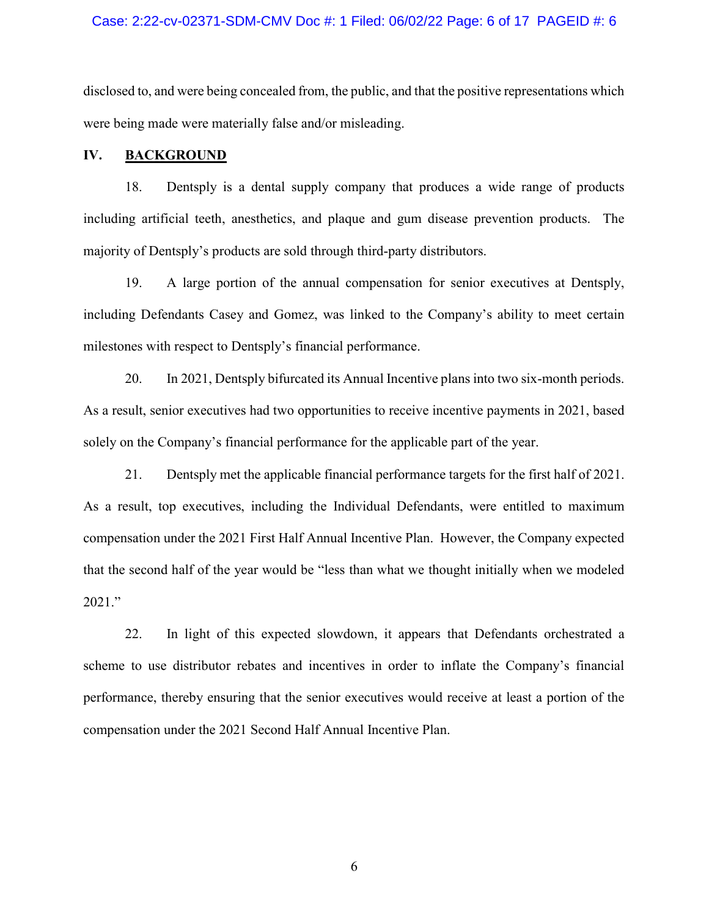#### Case: 2:22-cv-02371-SDM-CMV Doc #: 1 Filed: 06/02/22 Page: 6 of 17 PAGEID #: 6

disclosed to, and were being concealed from, the public, and that the positive representations which were being made were materially false and/or misleading.

## IV. BACKGROUND

18. Dentsply is a dental supply company that produces a wide range of products including artificial teeth, anesthetics, and plaque and gum disease prevention products. The majority of Dentsply's products are sold through third-party distributors.

19. A large portion of the annual compensation for senior executives at Dentsply, including Defendants Casey and Gomez, was linked to the Company's ability to meet certain milestones with respect to Dentsply's financial performance.

20. In 2021, Dentsply bifurcated its Annual Incentive plans into two six-month periods. As a result, senior executives had two opportunities to receive incentive payments in 2021, based solely on the Company's financial performance for the applicable part of the year.

21. Dentsply met the applicable financial performance targets for the first half of 2021. As a result, top executives, including the Individual Defendants, were entitled to maximum compensation under the 2021 First Half Annual Incentive Plan. However, the Company expected that the second half of the year would be "less than what we thought initially when we modeled 2021."

22. In light of this expected slowdown, it appears that Defendants orchestrated a scheme to use distributor rebates and incentives in order to inflate the Company's financial performance, thereby ensuring that the senior executives would receive at least a portion of the compensation under the 2021 Second Half Annual Incentive Plan.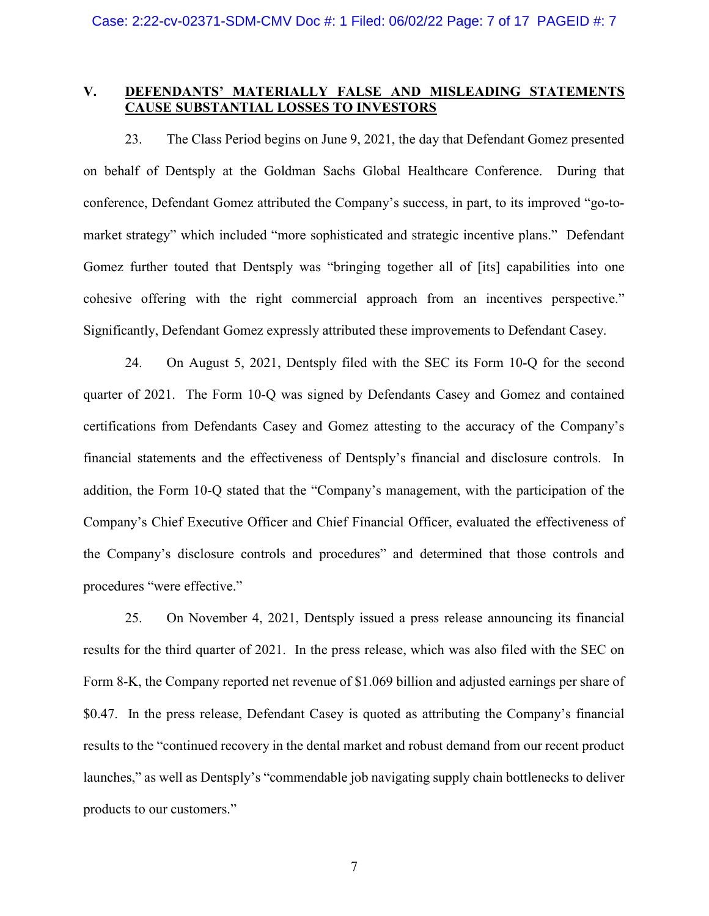### V. DEFENDANTS' MATERIALLY FALSE AND MISLEADING STATEMENTS CAUSE SUBSTANTIAL LOSSES TO INVESTORS

23. The Class Period begins on June 9, 2021, the day that Defendant Gomez presented on behalf of Dentsply at the Goldman Sachs Global Healthcare Conference. During that conference, Defendant Gomez attributed the Company's success, in part, to its improved "go-tomarket strategy" which included "more sophisticated and strategic incentive plans." Defendant Gomez further touted that Dentsply was "bringing together all of [its] capabilities into one cohesive offering with the right commercial approach from an incentives perspective." Significantly, Defendant Gomez expressly attributed these improvements to Defendant Casey.

24. On August 5, 2021, Dentsply filed with the SEC its Form 10-Q for the second quarter of 2021. The Form 10-Q was signed by Defendants Casey and Gomez and contained certifications from Defendants Casey and Gomez attesting to the accuracy of the Company's financial statements and the effectiveness of Dentsply's financial and disclosure controls. In addition, the Form 10-Q stated that the "Company's management, with the participation of the Company's Chief Executive Officer and Chief Financial Officer, evaluated the effectiveness of the Company's disclosure controls and procedures" and determined that those controls and procedures "were effective."

25. On November 4, 2021, Dentsply issued a press release announcing its financial results for the third quarter of 2021. In the press release, which was also filed with the SEC on Form 8-K, the Company reported net revenue of \$1.069 billion and adjusted earnings per share of \$0.47. In the press release, Defendant Casey is quoted as attributing the Company's financial results to the "continued recovery in the dental market and robust demand from our recent product launches," as well as Dentsply's "commendable job navigating supply chain bottlenecks to deliver products to our customers."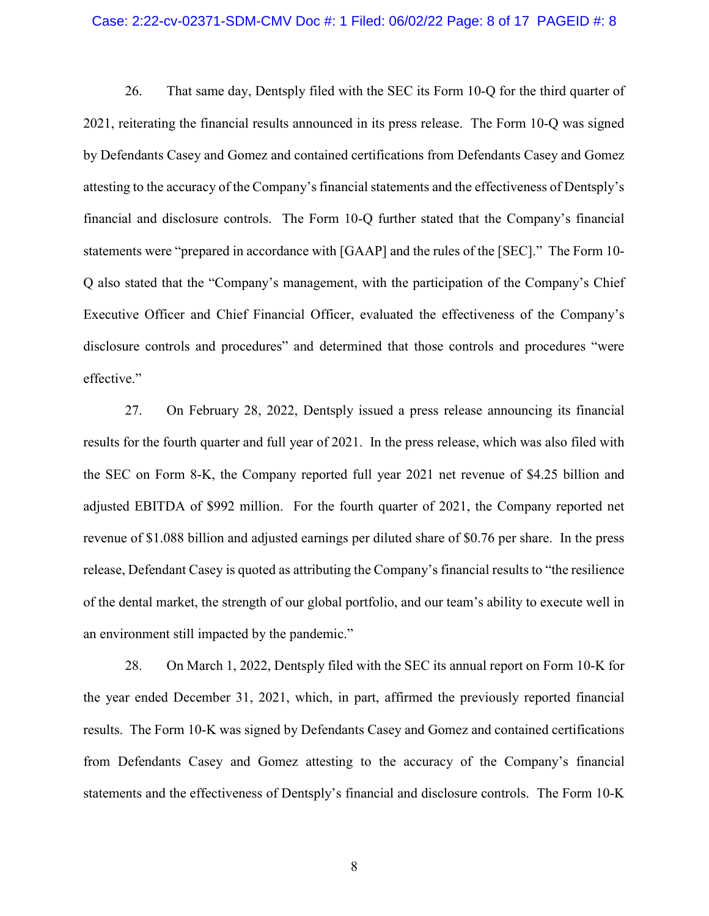#### Case: 2:22-cv-02371-SDM-CMV Doc #: 1 Filed: 06/02/22 Page: 8 of 17 PAGEID #: 8

26. That same day, Dentsply filed with the SEC its Form 10-Q for the third quarter of 2021, reiterating the financial results announced in its press release. The Form 10-Q was signed by Defendants Casey and Gomez and contained certifications from Defendants Casey and Gomez attesting to the accuracy of the Company's financial statements and the effectiveness of Dentsply's financial and disclosure controls. The Form 10-Q further stated that the Company's financial statements were "prepared in accordance with [GAAP] and the rules of the [SEC]." The Form 10- Q also stated that the "Company's management, with the participation of the Company's Chief Executive Officer and Chief Financial Officer, evaluated the effectiveness of the Company's disclosure controls and procedures" and determined that those controls and procedures "were effective."

27. On February 28, 2022, Dentsply issued a press release announcing its financial results for the fourth quarter and full year of 2021. In the press release, which was also filed with the SEC on Form 8-K, the Company reported full year 2021 net revenue of \$4.25 billion and adjusted EBITDA of \$992 million. For the fourth quarter of 2021, the Company reported net revenue of \$1.088 billion and adjusted earnings per diluted share of \$0.76 per share. In the press release, Defendant Casey is quoted as attributing the Company's financial results to "the resilience of the dental market, the strength of our global portfolio, and our team's ability to execute well in an environment still impacted by the pandemic."

28. On March 1, 2022, Dentsply filed with the SEC its annual report on Form 10-K for the year ended December 31, 2021, which, in part, affirmed the previously reported financial results. The Form 10-K was signed by Defendants Casey and Gomez and contained certifications from Defendants Casey and Gomez attesting to the accuracy of the Company's financial statements and the effectiveness of Dentsply's financial and disclosure controls. The Form 10-K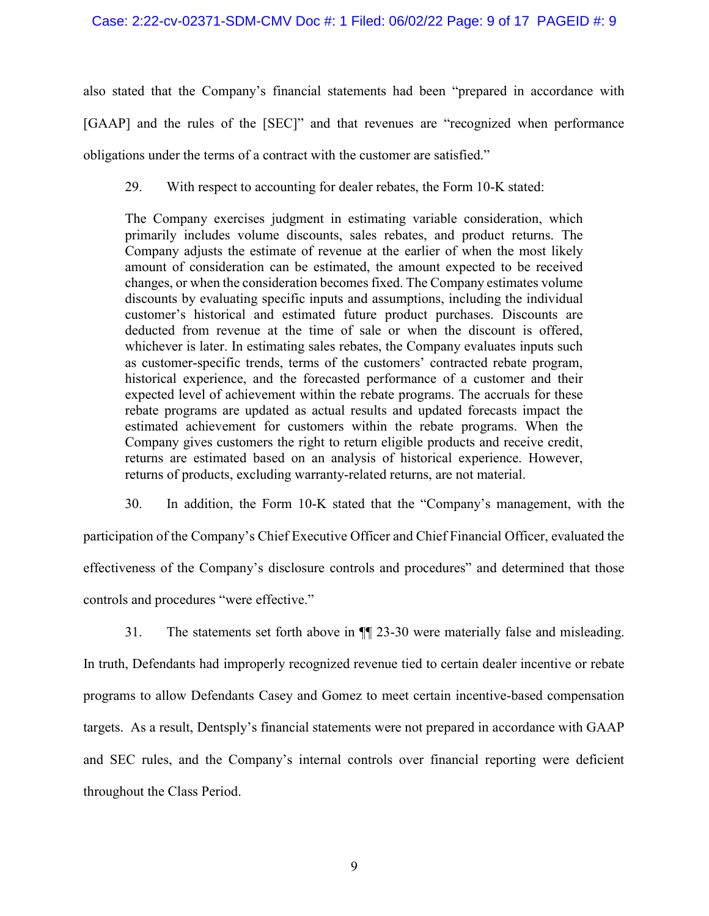also stated that the Company's financial statements had been "prepared in accordance with [GAAP] and the rules of the [SEC]" and that revenues are "recognized when performance obligations under the terms of a contract with the customer are satisfied."

29. With respect to accounting for dealer rebates, the Form 10-K stated:

The Company exercises judgment in estimating variable consideration, which primarily includes volume discounts, sales rebates, and product returns. The Company adjusts the estimate of revenue at the earlier of when the most likely amount of consideration can be estimated, the amount expected to be received changes, or when the consideration becomes fixed. The Company estimates volume discounts by evaluating specific inputs and assumptions, including the individual customer's historical and estimated future product purchases. Discounts are deducted from revenue at the time of sale or when the discount is offered, whichever is later. In estimating sales rebates, the Company evaluates inputs such as customer-specific trends, terms of the customers' contracted rebate program, historical experience, and the forecasted performance of a customer and their expected level of achievement within the rebate programs. The accruals for these rebate programs are updated as actual results and updated forecasts impact the estimated achievement for customers within the rebate programs. When the Company gives customers the right to return eligible products and receive credit, returns are estimated based on an analysis of historical experience. However, returns of products, excluding warranty-related returns, are not material.

30. In addition, the Form 10-K stated that the "Company's management, with the participation of the Company's Chief Executive Officer and Chief Financial Officer, evaluated the effectiveness of the Company's disclosure controls and procedures" and determined that those controls and procedures "were effective."

31. The statements set forth above in ¶¶ 23-30 were materially false and misleading. In truth, Defendants had improperly recognized revenue tied to certain dealer incentive or rebate programs to allow Defendants Casey and Gomez to meet certain incentive-based compensation targets. As a result, Dentsply's financial statements were not prepared in accordance with GAAP and SEC rules, and the Company's internal controls over financial reporting were deficient throughout the Class Period.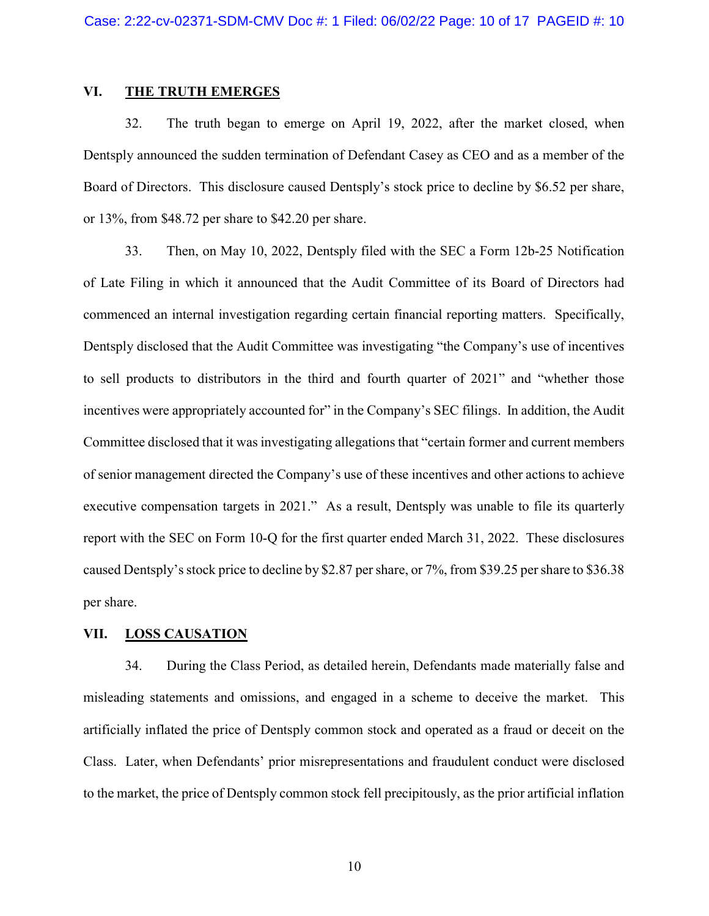#### VI. THE TRUTH EMERGES

32. The truth began to emerge on April 19, 2022, after the market closed, when Dentsply announced the sudden termination of Defendant Casey as CEO and as a member of the Board of Directors. This disclosure caused Dentsply's stock price to decline by \$6.52 per share, or 13%, from \$48.72 per share to \$42.20 per share.

33. Then, on May 10, 2022, Dentsply filed with the SEC a Form 12b-25 Notification of Late Filing in which it announced that the Audit Committee of its Board of Directors had commenced an internal investigation regarding certain financial reporting matters. Specifically, Dentsply disclosed that the Audit Committee was investigating "the Company's use of incentives to sell products to distributors in the third and fourth quarter of 2021" and "whether those incentives were appropriately accounted for" in the Company's SEC filings. In addition, the Audit Committee disclosed that it was investigating allegations that "certain former and current members of senior management directed the Company's use of these incentives and other actions to achieve executive compensation targets in 2021." As a result, Dentsply was unable to file its quarterly report with the SEC on Form 10-Q for the first quarter ended March 31, 2022. These disclosures caused Dentsply's stock price to decline by \$2.87 per share, or 7%, from \$39.25 per share to \$36.38 per share.

#### VII. LOSS CAUSATION

34. During the Class Period, as detailed herein, Defendants made materially false and misleading statements and omissions, and engaged in a scheme to deceive the market. This artificially inflated the price of Dentsply common stock and operated as a fraud or deceit on the Class. Later, when Defendants' prior misrepresentations and fraudulent conduct were disclosed to the market, the price of Dentsply common stock fell precipitously, as the prior artificial inflation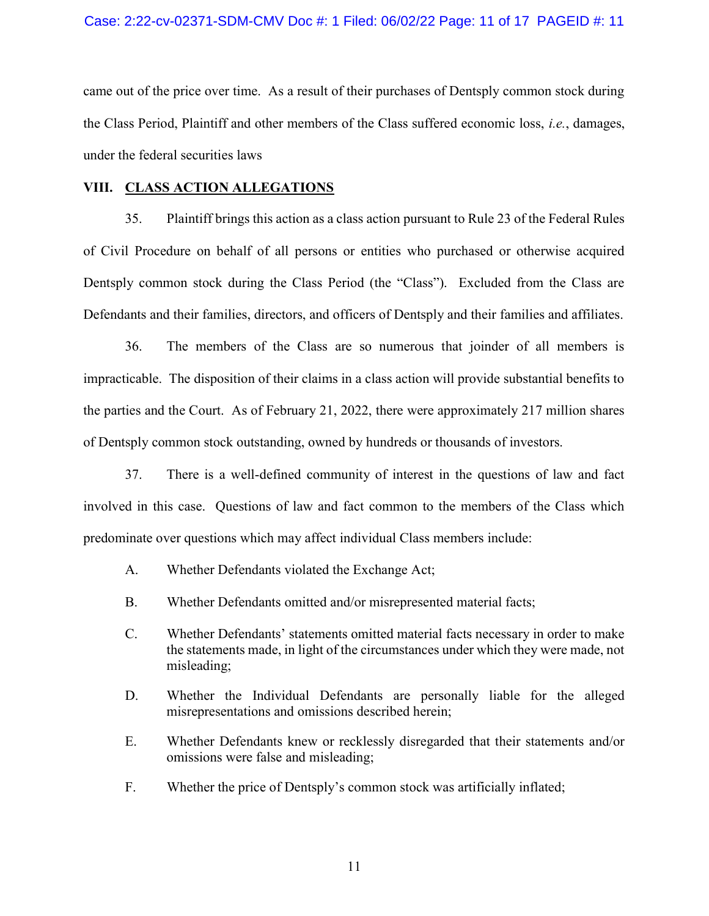came out of the price over time. As a result of their purchases of Dentsply common stock during the Class Period, Plaintiff and other members of the Class suffered economic loss, i.e., damages, under the federal securities laws

#### VIII. CLASS ACTION ALLEGATIONS

35. Plaintiff brings this action as a class action pursuant to Rule 23 of the Federal Rules of Civil Procedure on behalf of all persons or entities who purchased or otherwise acquired Dentsply common stock during the Class Period (the "Class"). Excluded from the Class are Defendants and their families, directors, and officers of Dentsply and their families and affiliates.

36. The members of the Class are so numerous that joinder of all members is impracticable. The disposition of their claims in a class action will provide substantial benefits to the parties and the Court. As of February 21, 2022, there were approximately 217 million shares of Dentsply common stock outstanding, owned by hundreds or thousands of investors.

37. There is a well-defined community of interest in the questions of law and fact involved in this case. Questions of law and fact common to the members of the Class which predominate over questions which may affect individual Class members include:

- A. Whether Defendants violated the Exchange Act;
- B. Whether Defendants omitted and/or misrepresented material facts;
- C. Whether Defendants' statements omitted material facts necessary in order to make the statements made, in light of the circumstances under which they were made, not misleading;
- D. Whether the Individual Defendants are personally liable for the alleged misrepresentations and omissions described herein;
- E. Whether Defendants knew or recklessly disregarded that their statements and/or omissions were false and misleading;
- F. Whether the price of Dentsply's common stock was artificially inflated;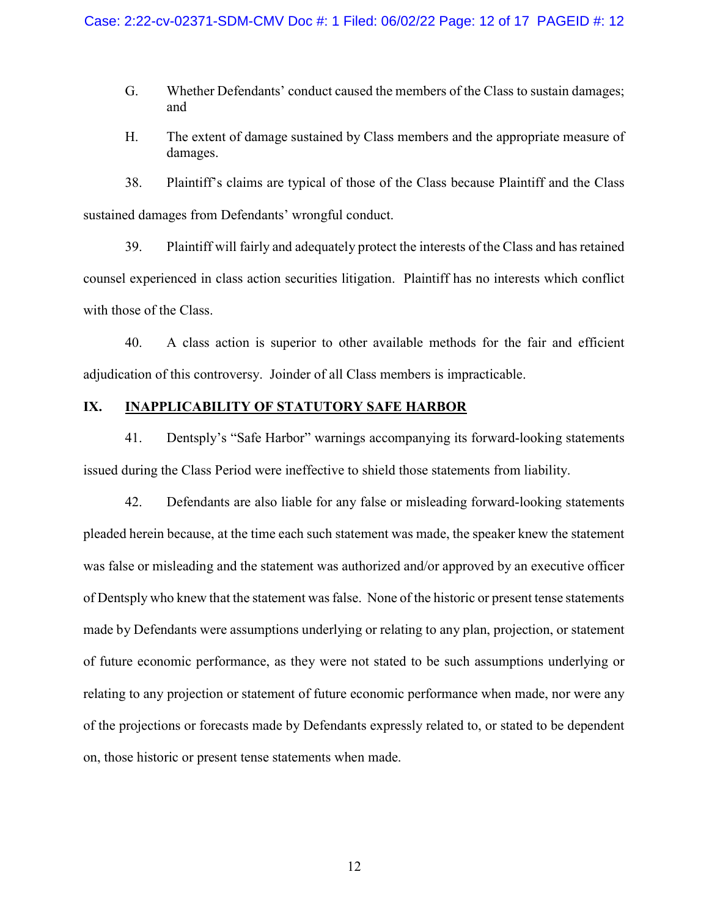- G. Whether Defendants' conduct caused the members of the Class to sustain damages; and
- H. The extent of damage sustained by Class members and the appropriate measure of damages.

38. Plaintiff's claims are typical of those of the Class because Plaintiff and the Class sustained damages from Defendants' wrongful conduct.

39. Plaintiff will fairly and adequately protect the interests of the Class and has retained counsel experienced in class action securities litigation. Plaintiff has no interests which conflict with those of the Class.

40. A class action is superior to other available methods for the fair and efficient adjudication of this controversy. Joinder of all Class members is impracticable.

### IX. INAPPLICABILITY OF STATUTORY SAFE HARBOR

41. Dentsply's "Safe Harbor" warnings accompanying its forward-looking statements issued during the Class Period were ineffective to shield those statements from liability.

42. Defendants are also liable for any false or misleading forward-looking statements pleaded herein because, at the time each such statement was made, the speaker knew the statement was false or misleading and the statement was authorized and/or approved by an executive officer of Dentsply who knew that the statement was false. None of the historic or present tense statements made by Defendants were assumptions underlying or relating to any plan, projection, or statement of future economic performance, as they were not stated to be such assumptions underlying or relating to any projection or statement of future economic performance when made, nor were any of the projections or forecasts made by Defendants expressly related to, or stated to be dependent on, those historic or present tense statements when made.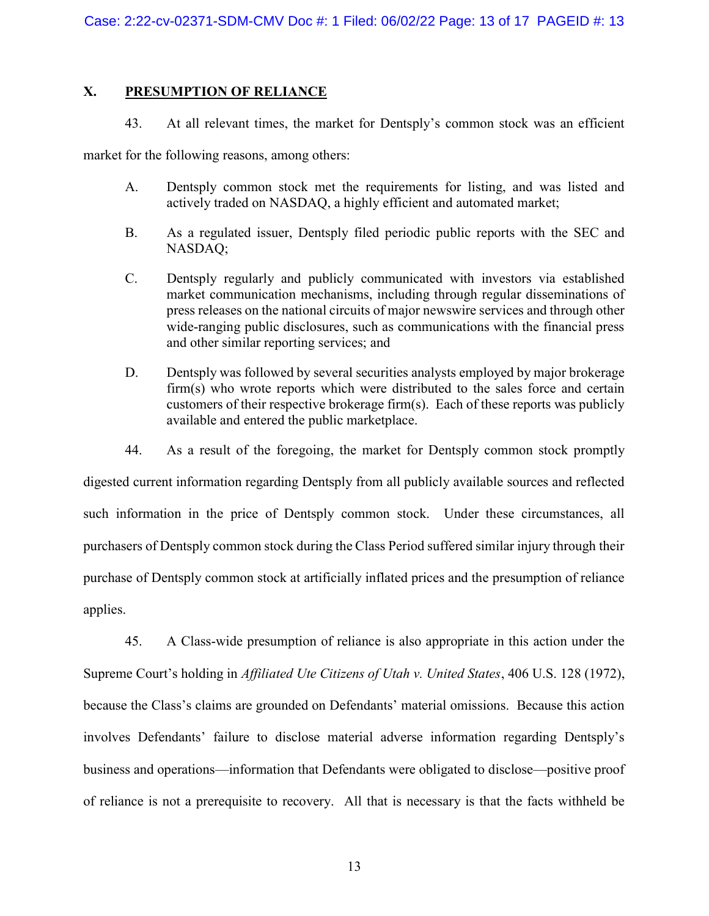# X. PRESUMPTION OF RELIANCE

43. At all relevant times, the market for Dentsply's common stock was an efficient

market for the following reasons, among others:

- A. Dentsply common stock met the requirements for listing, and was listed and actively traded on NASDAQ, a highly efficient and automated market;
- B. As a regulated issuer, Dentsply filed periodic public reports with the SEC and NASDAQ;
- C. Dentsply regularly and publicly communicated with investors via established market communication mechanisms, including through regular disseminations of press releases on the national circuits of major newswire services and through other wide-ranging public disclosures, such as communications with the financial press and other similar reporting services; and
- D. Dentsply was followed by several securities analysts employed by major brokerage firm(s) who wrote reports which were distributed to the sales force and certain customers of their respective brokerage firm(s). Each of these reports was publicly available and entered the public marketplace.
- 44. As a result of the foregoing, the market for Dentsply common stock promptly

digested current information regarding Dentsply from all publicly available sources and reflected such information in the price of Dentsply common stock. Under these circumstances, all purchasers of Dentsply common stock during the Class Period suffered similar injury through their purchase of Dentsply common stock at artificially inflated prices and the presumption of reliance applies.

45. A Class-wide presumption of reliance is also appropriate in this action under the Supreme Court's holding in Affiliated Ute Citizens of Utah v. United States, 406 U.S. 128 (1972), because the Class's claims are grounded on Defendants' material omissions. Because this action involves Defendants' failure to disclose material adverse information regarding Dentsply's business and operations—information that Defendants were obligated to disclose—positive proof of reliance is not a prerequisite to recovery. All that is necessary is that the facts withheld be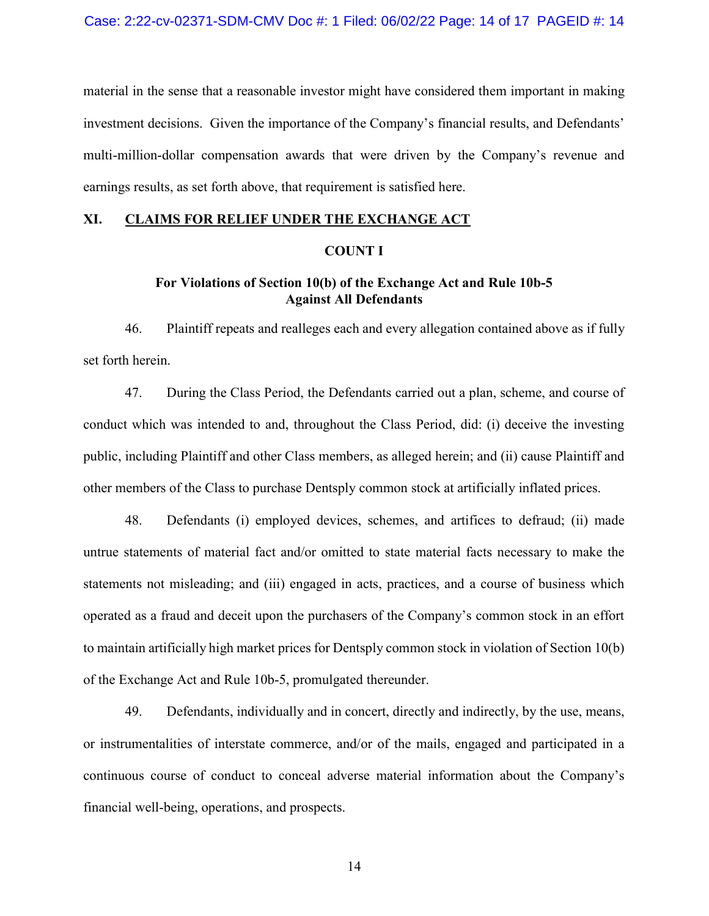material in the sense that a reasonable investor might have considered them important in making investment decisions. Given the importance of the Company's financial results, and Defendants' multi-million-dollar compensation awards that were driven by the Company's revenue and earnings results, as set forth above, that requirement is satisfied here.

#### XI. CLAIMS FOR RELIEF UNDER THE EXCHANGE ACT

#### COUNT I

### For Violations of Section 10(b) of the Exchange Act and Rule 10b-5 Against All Defendants

46. Plaintiff repeats and realleges each and every allegation contained above as if fully set forth herein.

47. During the Class Period, the Defendants carried out a plan, scheme, and course of conduct which was intended to and, throughout the Class Period, did: (i) deceive the investing public, including Plaintiff and other Class members, as alleged herein; and (ii) cause Plaintiff and other members of the Class to purchase Dentsply common stock at artificially inflated prices.

48. Defendants (i) employed devices, schemes, and artifices to defraud; (ii) made untrue statements of material fact and/or omitted to state material facts necessary to make the statements not misleading; and (iii) engaged in acts, practices, and a course of business which operated as a fraud and deceit upon the purchasers of the Company's common stock in an effort to maintain artificially high market prices for Dentsply common stock in violation of Section 10(b) of the Exchange Act and Rule 10b-5, promulgated thereunder.

49. Defendants, individually and in concert, directly and indirectly, by the use, means, or instrumentalities of interstate commerce, and/or of the mails, engaged and participated in a continuous course of conduct to conceal adverse material information about the Company's financial well-being, operations, and prospects.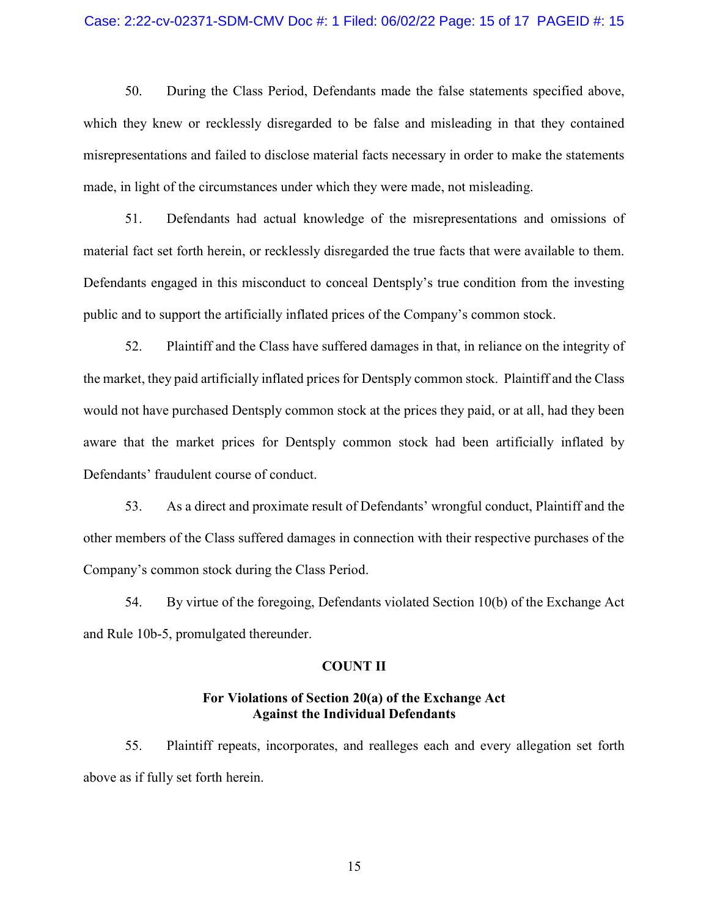#### Case: 2:22-cv-02371-SDM-CMV Doc #: 1 Filed: 06/02/22 Page: 15 of 17 PAGEID #: 15

50. During the Class Period, Defendants made the false statements specified above, which they knew or recklessly disregarded to be false and misleading in that they contained misrepresentations and failed to disclose material facts necessary in order to make the statements made, in light of the circumstances under which they were made, not misleading.

51. Defendants had actual knowledge of the misrepresentations and omissions of material fact set forth herein, or recklessly disregarded the true facts that were available to them. Defendants engaged in this misconduct to conceal Dentsply's true condition from the investing public and to support the artificially inflated prices of the Company's common stock.

52. Plaintiff and the Class have suffered damages in that, in reliance on the integrity of the market, they paid artificially inflated prices for Dentsply common stock. Plaintiff and the Class would not have purchased Dentsply common stock at the prices they paid, or at all, had they been aware that the market prices for Dentsply common stock had been artificially inflated by Defendants' fraudulent course of conduct.

53. As a direct and proximate result of Defendants' wrongful conduct, Plaintiff and the other members of the Class suffered damages in connection with their respective purchases of the Company's common stock during the Class Period.

54. By virtue of the foregoing, Defendants violated Section 10(b) of the Exchange Act and Rule 10b-5, promulgated thereunder.

#### COUNT II

### For Violations of Section 20(a) of the Exchange Act Against the Individual Defendants

55. Plaintiff repeats, incorporates, and realleges each and every allegation set forth above as if fully set forth herein.